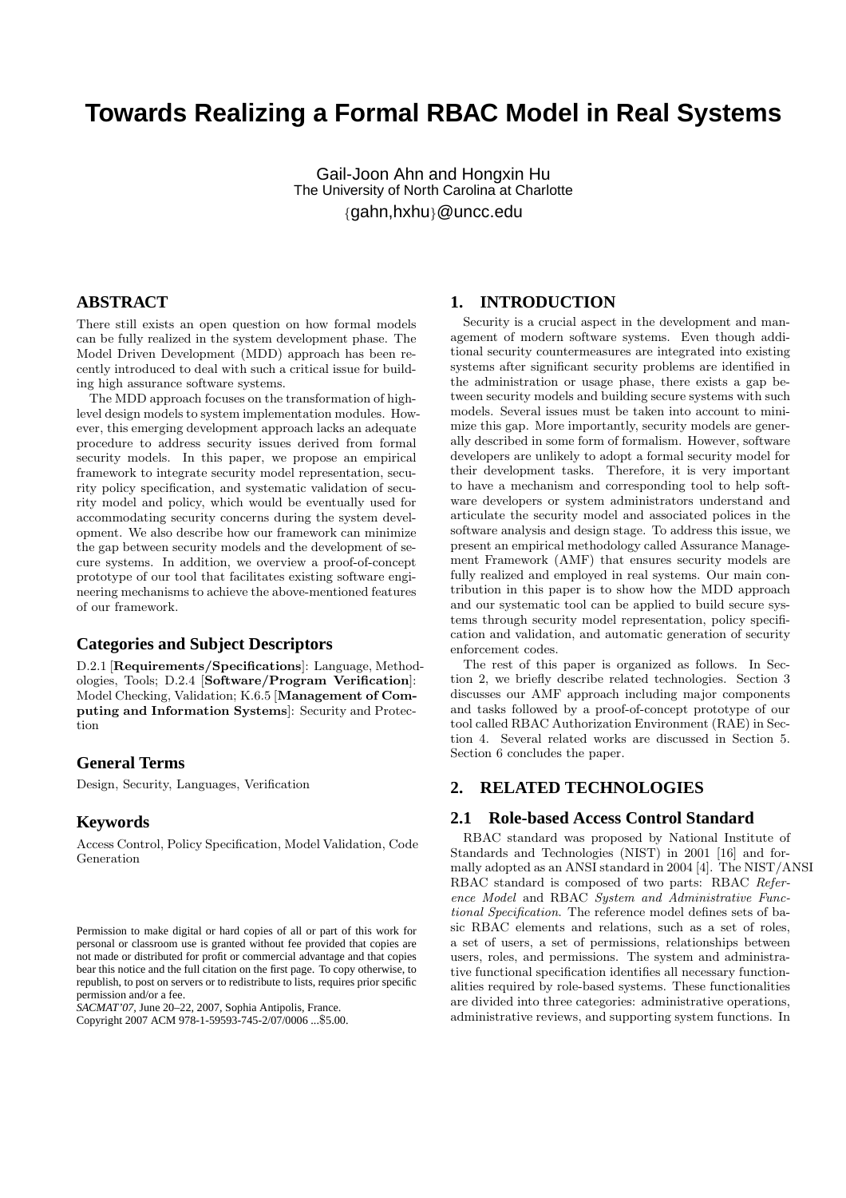# **Towards Realizing a Formal RBAC Model in Real Systems**

Gail-Joon Ahn and Hongxin Hu The University of North Carolina at Charlotte {gahn,hxhu}@uncc.edu

# **ABSTRACT**

There still exists an open question on how formal models can be fully realized in the system development phase. The Model Driven Development (MDD) approach has been recently introduced to deal with such a critical issue for building high assurance software systems.

The MDD approach focuses on the transformation of highlevel design models to system implementation modules. However, this emerging development approach lacks an adequate procedure to address security issues derived from formal security models. In this paper, we propose an empirical framework to integrate security model representation, security policy specification, and systematic validation of security model and policy, which would be eventually used for accommodating security concerns during the system development. We also describe how our framework can minimize the gap between security models and the development of secure systems. In addition, we overview a proof-of-concept prototype of our tool that facilitates existing software engineering mechanisms to achieve the above-mentioned features of our framework.

# **Categories and Subject Descriptors**

D.2.1 [Requirements/Specifications]: Language, Methodologies, Tools; D.2.4 [Software/Program Verification]: Model Checking, Validation; K.6.5 [Management of Computing and Information Systems]: Security and Protection

#### **General Terms**

Design, Security, Languages, Verification

#### **Keywords**

Access Control, Policy Specification, Model Validation, Code Generation

*SACMAT'07,* June 20–22, 2007, Sophia Antipolis, France. Copyright 2007 ACM 978-1-59593-745-2/07/0006 ...\$5.00.

# **1. INTRODUCTION**

Security is a crucial aspect in the development and management of modern software systems. Even though additional security countermeasures are integrated into existing systems after significant security problems are identified in the administration or usage phase, there exists a gap between security models and building secure systems with such models. Several issues must be taken into account to minimize this gap. More importantly, security models are generally described in some form of formalism. However, software developers are unlikely to adopt a formal security model for their development tasks. Therefore, it is very important to have a mechanism and corresponding tool to help software developers or system administrators understand and articulate the security model and associated polices in the software analysis and design stage. To address this issue, we present an empirical methodology called Assurance Management Framework (AMF) that ensures security models are fully realized and employed in real systems. Our main contribution in this paper is to show how the MDD approach and our systematic tool can be applied to build secure systems through security model representation, policy specification and validation, and automatic generation of security enforcement codes.

The rest of this paper is organized as follows. In Section 2, we briefly describe related technologies. Section 3 discusses our AMF approach including major components and tasks followed by a proof-of-concept prototype of our tool called RBAC Authorization Environment (RAE) in Section 4. Several related works are discussed in Section 5. Section 6 concludes the paper.

# **2. RELATED TECHNOLOGIES**

#### **2.1 Role-based Access Control Standard**

RBAC standard was proposed by National Institute of Standards and Technologies (NIST) in 2001 [16] and formally adopted as an ANSI standard in 2004 [4]. The NIST/ANSI RBAC standard is composed of two parts: RBAC Reference Model and RBAC System and Administrative Functional Specification. The reference model defines sets of basic RBAC elements and relations, such as a set of roles, a set of users, a set of permissions, relationships between users, roles, and permissions. The system and administrative functional specification identifies all necessary functionalities required by role-based systems. These functionalities are divided into three categories: administrative operations, administrative reviews, and supporting system functions. In

Permission to make digital or hard copies of all or part of this work for personal or classroom use is granted without fee provided that copies are not made or distributed for profit or commercial advantage and that copies bear this notice and the full citation on the first page. To copy otherwise, to republish, to post on servers or to redistribute to lists, requires prior specific permission and/or a fee.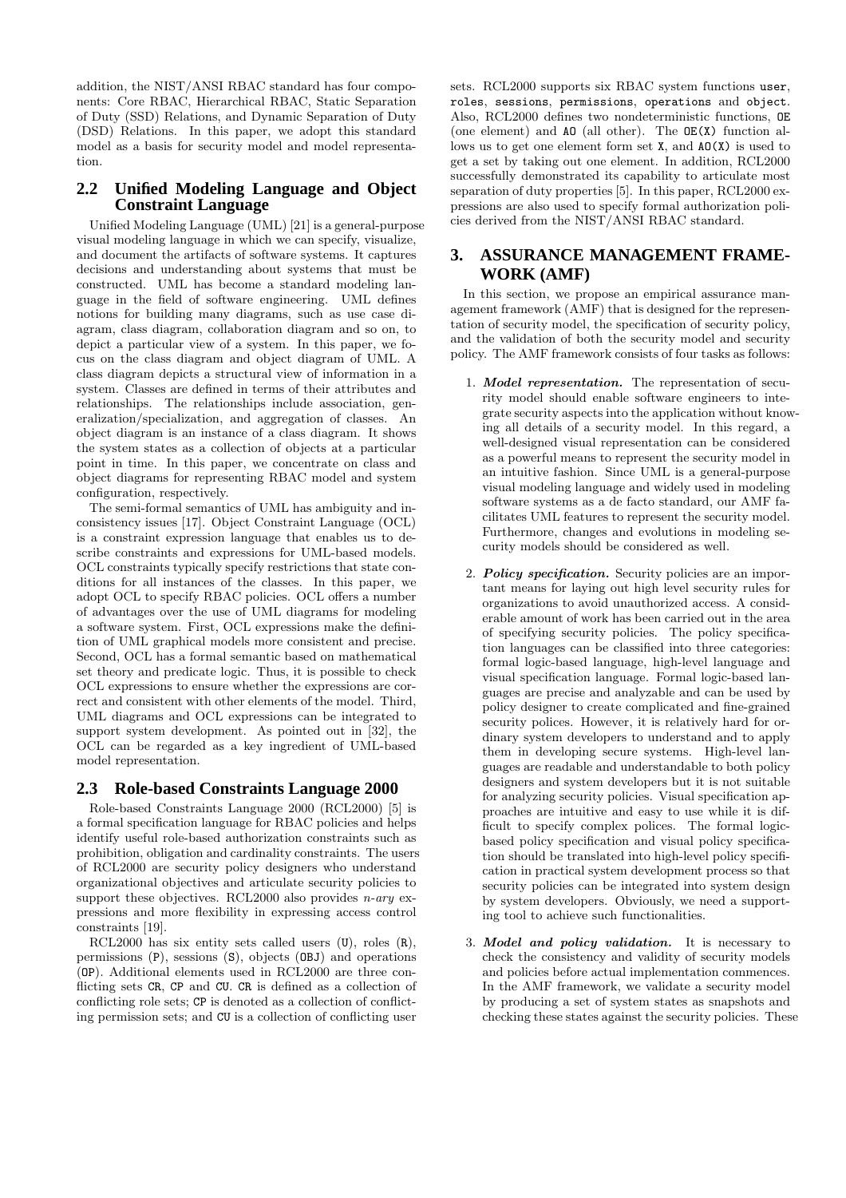addition, the NIST/ANSI RBAC standard has four components: Core RBAC, Hierarchical RBAC, Static Separation of Duty (SSD) Relations, and Dynamic Separation of Duty (DSD) Relations. In this paper, we adopt this standard model as a basis for security model and model representation.

# **2.2 Unified Modeling Language and Object Constraint Language**

Unified Modeling Language (UML) [21] is a general-purpose visual modeling language in which we can specify, visualize, and document the artifacts of software systems. It captures decisions and understanding about systems that must be constructed. UML has become a standard modeling language in the field of software engineering. UML defines notions for building many diagrams, such as use case diagram, class diagram, collaboration diagram and so on, to depict a particular view of a system. In this paper, we focus on the class diagram and object diagram of UML. A class diagram depicts a structural view of information in a system. Classes are defined in terms of their attributes and relationships. The relationships include association, generalization/specialization, and aggregation of classes. An object diagram is an instance of a class diagram. It shows the system states as a collection of objects at a particular point in time. In this paper, we concentrate on class and object diagrams for representing RBAC model and system configuration, respectively.

The semi-formal semantics of UML has ambiguity and inconsistency issues [17]. Object Constraint Language (OCL) is a constraint expression language that enables us to describe constraints and expressions for UML-based models. OCL constraints typically specify restrictions that state conditions for all instances of the classes. In this paper, we adopt OCL to specify RBAC policies. OCL offers a number of advantages over the use of UML diagrams for modeling a software system. First, OCL expressions make the definition of UML graphical models more consistent and precise. Second, OCL has a formal semantic based on mathematical set theory and predicate logic. Thus, it is possible to check OCL expressions to ensure whether the expressions are correct and consistent with other elements of the model. Third, UML diagrams and OCL expressions can be integrated to support system development. As pointed out in [32], the OCL can be regarded as a key ingredient of UML-based model representation.

# **2.3 Role-based Constraints Language 2000**

Role-based Constraints Language 2000 (RCL2000) [5] is a formal specification language for RBAC policies and helps identify useful role-based authorization constraints such as prohibition, obligation and cardinality constraints. The users of RCL2000 are security policy designers who understand organizational objectives and articulate security policies to support these objectives. RCL2000 also provides  $n$ -ary expressions and more flexibility in expressing access control constraints [19].

RCL2000 has six entity sets called users (U), roles (R), permissions (P), sessions (S), objects (OBJ) and operations (OP). Additional elements used in RCL2000 are three conflicting sets CR, CP and CU. CR is defined as a collection of conflicting role sets; CP is denoted as a collection of conflicting permission sets; and CU is a collection of conflicting user

sets. RCL2000 supports six RBAC system functions user, roles, sessions, permissions, operations and object. Also, RCL2000 defines two nondeterministic functions, OE (one element) and AO (all other). The OE(X) function allows us to get one element form set X, and AO(X) is used to get a set by taking out one element. In addition, RCL2000 successfully demonstrated its capability to articulate most separation of duty properties [5]. In this paper, RCL2000 expressions are also used to specify formal authorization policies derived from the NIST/ANSI RBAC standard.

# **3. ASSURANCE MANAGEMENT FRAME-WORK (AMF)**

In this section, we propose an empirical assurance management framework (AMF) that is designed for the representation of security model, the specification of security policy, and the validation of both the security model and security policy. The AMF framework consists of four tasks as follows:

- 1. Model representation. The representation of security model should enable software engineers to integrate security aspects into the application without knowing all details of a security model. In this regard, a well-designed visual representation can be considered as a powerful means to represent the security model in an intuitive fashion. Since UML is a general-purpose visual modeling language and widely used in modeling software systems as a de facto standard, our AMF facilitates UML features to represent the security model. Furthermore, changes and evolutions in modeling security models should be considered as well.
- 2. Policy specification. Security policies are an important means for laying out high level security rules for organizations to avoid unauthorized access. A considerable amount of work has been carried out in the area of specifying security policies. The policy specification languages can be classified into three categories: formal logic-based language, high-level language and visual specification language. Formal logic-based languages are precise and analyzable and can be used by policy designer to create complicated and fine-grained security polices. However, it is relatively hard for ordinary system developers to understand and to apply them in developing secure systems. High-level languages are readable and understandable to both policy designers and system developers but it is not suitable for analyzing security policies. Visual specification approaches are intuitive and easy to use while it is difficult to specify complex polices. The formal logicbased policy specification and visual policy specification should be translated into high-level policy specification in practical system development process so that security policies can be integrated into system design by system developers. Obviously, we need a supporting tool to achieve such functionalities.
- 3. Model and policy validation. It is necessary to check the consistency and validity of security models and policies before actual implementation commences. In the AMF framework, we validate a security model by producing a set of system states as snapshots and checking these states against the security policies. These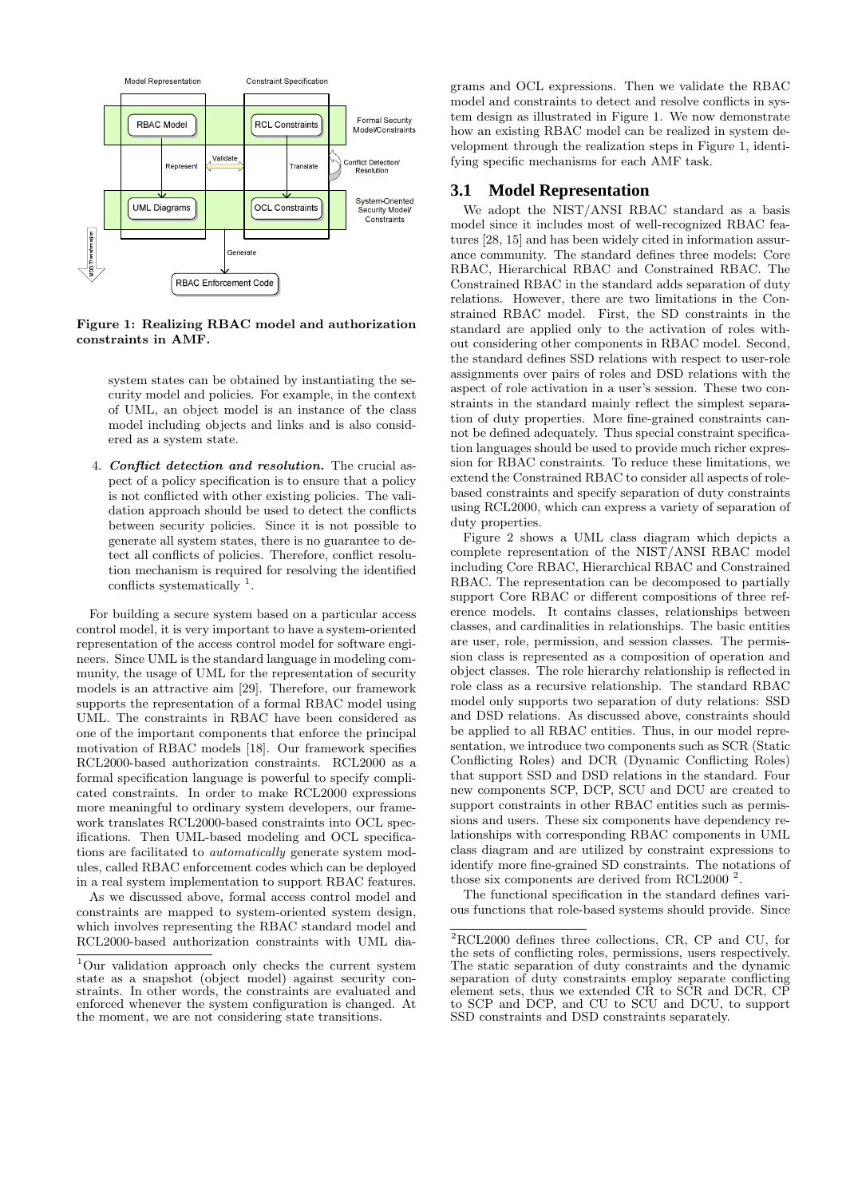

Figure 1: Realizing RBAC model and authorization constraints in AMF.

system states can be obtained by instantiating the security model and policies. For example, in the context of UML, an object model is an instance of the class model including objects and links and is also considered as a system state.

4. Conflict detection and resolution. The crucial aspect of a policy specification is to ensure that a policy is not conflicted with other existing policies. The validation approach should be used to detect the conflicts between security policies. Since it is not possible to generate all system states, there is no guarantee to detect all conflicts of policies. Therefore, conflict resolution mechanism is required for resolving the identified conflicts systematically  $<sup>1</sup>$ .</sup>

For building a secure system based on a particular access control model, it is very important to have a system-oriented representation of the access control model for software engineers. Since UML is the standard language in modeling community, the usage of UML for the representation of security models is an attractive aim [29]. Therefore, our framework supports the representation of a formal RBAC model using UML. The constraints in RBAC have been considered as one of the important components that enforce the principal motivation of RBAC models [18]. Our framework specifies RCL2000-based authorization constraints. RCL2000 as a formal specification language is powerful to specify complicated constraints. In order to make RCL2000 expressions more meaningful to ordinary system developers, our framework translates RCL2000-based constraints into OCL specifications. Then UML-based modeling and OCL specifications are facilitated to automatically generate system modules, called RBAC enforcement codes which can be deployed in a real system implementation to support RBAC features.

As we discussed above, formal access control model and constraints are mapped to system-oriented system design, which involves representing the RBAC standard model and RCL2000-based authorization constraints with UML dia-

grams and OCL expressions. Then we validate the RBAC model and constraints to detect and resolve conflicts in system design as illustrated in Figure 1. We now demonstrate how an existing RBAC model can be realized in system development through the realization steps in Figure 1, identifying specific mechanisms for each AMF task.

# **3.1 Model Representation**

We adopt the NIST/ANSI RBAC standard as a basis model since it includes most of well-recognized RBAC features [28, 15] and has been widely cited in information assurance community. The standard defines three models: Core RBAC, Hierarchical RBAC and Constrained RBAC. The Constrained RBAC in the standard adds separation of duty relations. However, there are two limitations in the Constrained RBAC model. First, the SD constraints in the standard are applied only to the activation of roles without considering other components in RBAC model. Second, the standard defines SSD relations with respect to user-role assignments over pairs of roles and DSD relations with the aspect of role activation in a user's session. These two constraints in the standard mainly reflect the simplest separation of duty properties. More fine-grained constraints cannot be defined adequately. Thus special constraint specification languages should be used to provide much richer expression for RBAC constraints. To reduce these limitations, we extend the Constrained RBAC to consider all aspects of rolebased constraints and specify separation of duty constraints using RCL2000, which can express a variety of separation of duty properties.

Figure 2 shows a UML class diagram which depicts a complete representation of the NIST/ANSI RBAC model including Core RBAC, Hierarchical RBAC and Constrained RBAC. The representation can be decomposed to partially support Core RBAC or different compositions of three reference models. It contains classes, relationships between classes, and cardinalities in relationships. The basic entities are user, role, permission, and session classes. The permission class is represented as a composition of operation and object classes. The role hierarchy relationship is reflected in role class as a recursive relationship. The standard RBAC model only supports two separation of duty relations: SSD and DSD relations. As discussed above, constraints should be applied to all RBAC entities. Thus, in our model representation, we introduce two components such as SCR (Static Conflicting Roles) and DCR (Dynamic Conflicting Roles) that support SSD and DSD relations in the standard. Four new components SCP, DCP, SCU and DCU are created to support constraints in other RBAC entities such as permissions and users. These six components have dependency relationships with corresponding RBAC components in UML class diagram and are utilized by constraint expressions to identify more fine-grained SD constraints. The notations of those six components are derived from RCL2000 $^2$ .

The functional specification in the standard defines various functions that role-based systems should provide. Since

 $^{1}\mathrm{Our}$  validation approach only checks the current system state as a snapshot (object model) against security constraints. In other words, the constraints are evaluated and enforced whenever the system configuration is changed. At the moment, we are not considering state transitions.

<sup>2</sup>RCL2000 defines three collections, CR, CP and CU, for the sets of conflicting roles, permissions, users respectively. The static separation of duty constraints and the dynamic separation of duty constraints employ separate conflicting element sets, thus we extended CR to SCR and DCR, CP to SCP and DCP, and CU to SCU and DCU, to support SSD constraints and DSD constraints separately.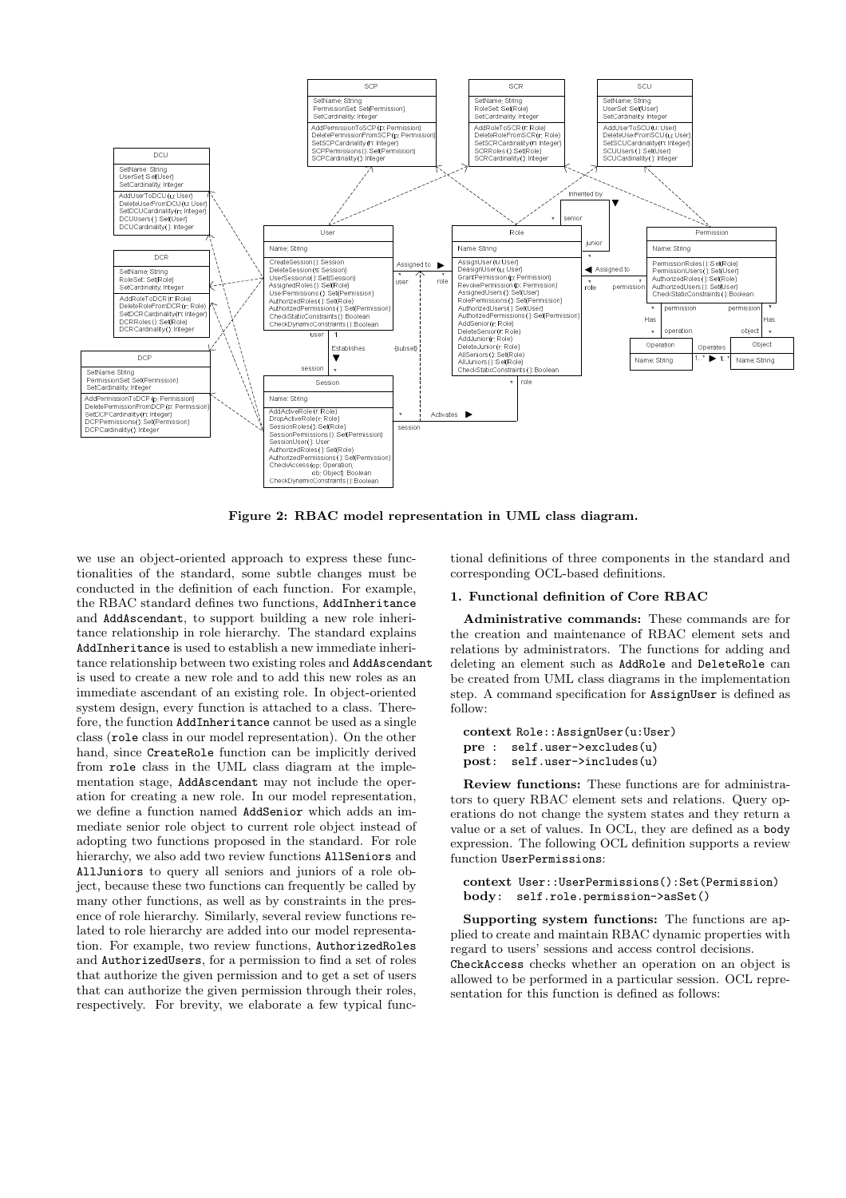

Figure 2: RBAC model representation in UML class diagram.

we use an object-oriented approach to express these functionalities of the standard, some subtle changes must be conducted in the definition of each function. For example, the RBAC standard defines two functions, AddInheritance and AddAscendant, to support building a new role inheritance relationship in role hierarchy. The standard explains AddInheritance is used to establish a new immediate inheritance relationship between two existing roles and AddAscendant is used to create a new role and to add this new roles as an immediate ascendant of an existing role. In object-oriented system design, every function is attached to a class. Therefore, the function AddInheritance cannot be used as a single class (role class in our model representation). On the other hand, since CreateRole function can be implicitly derived from role class in the UML class diagram at the implementation stage, AddAscendant may not include the operation for creating a new role. In our model representation, we define a function named AddSenior which adds an immediate senior role object to current role object instead of adopting two functions proposed in the standard. For role hierarchy, we also add two review functions AllSeniors and AllJuniors to query all seniors and juniors of a role object, because these two functions can frequently be called by many other functions, as well as by constraints in the presence of role hierarchy. Similarly, several review functions related to role hierarchy are added into our model representation. For example, two review functions, AuthorizedRoles and AuthorizedUsers, for a permission to find a set of roles that authorize the given permission and to get a set of users that can authorize the given permission through their roles, respectively. For brevity, we elaborate a few typical functional definitions of three components in the standard and corresponding OCL-based definitions.

#### 1. Functional definition of Core RBAC

Administrative commands: These commands are for the creation and maintenance of RBAC element sets and relations by administrators. The functions for adding and deleting an element such as AddRole and DeleteRole can be created from UML class diagrams in the implementation step. A command specification for AssignUser is defined as  $f_0$ llow

context Role::AssignUser(u:User) pre : self.user->excludes(u) post: self.user->includes(u)

Review functions: These functions are for administrators to query RBAC element sets and relations. Query operations do not change the system states and they return a value or a set of values. In OCL, they are defined as a body expression. The following OCL definition supports a review function UserPermissions:

context User::UserPermissions():Set(Permission) body: self.role.permission->asSet()

Supporting system functions: The functions are applied to create and maintain RBAC dynamic properties with regard to users' sessions and access control decisions. CheckAccess checks whether an operation on an object is allowed to be performed in a particular session. OCL representation for this function is defined as follows: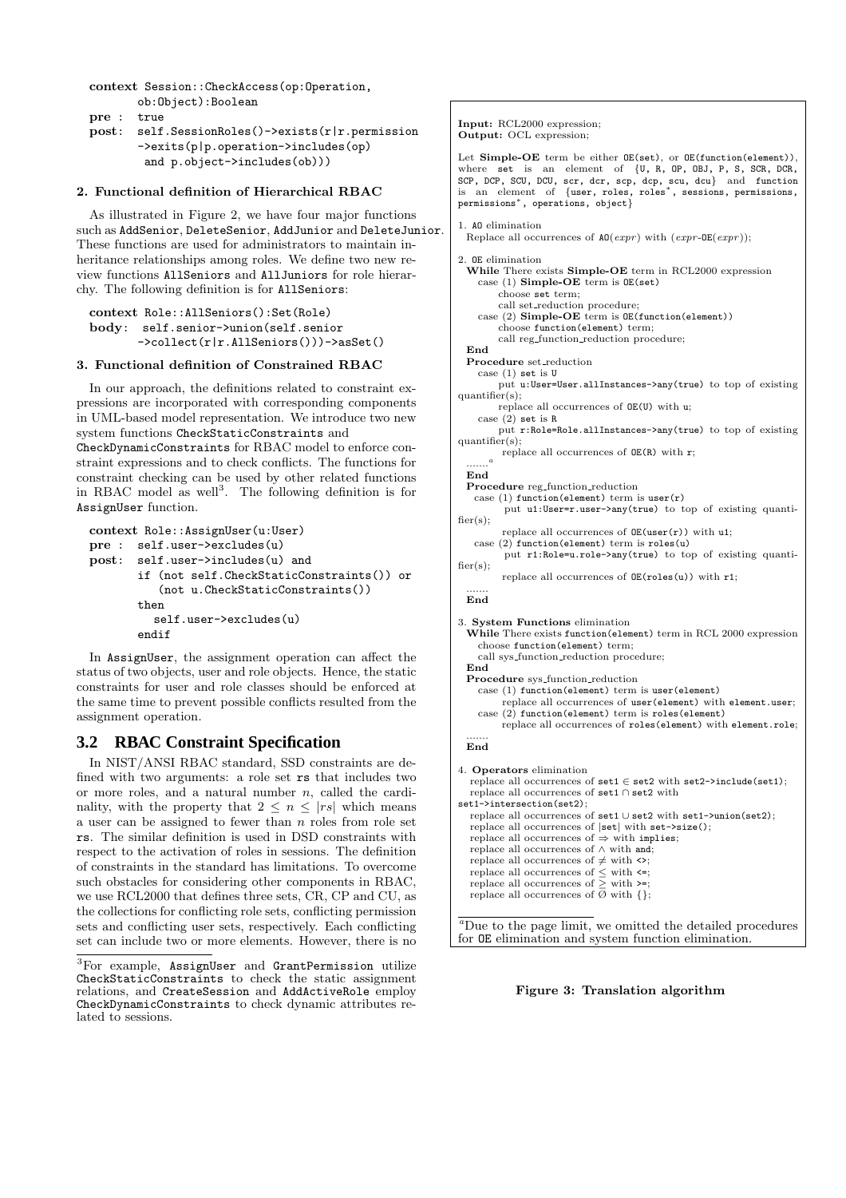context Session::CheckAccess(op:Operation, ob:Object):Boolean

```
pre : true
```

```
post: self.SessionRoles()->exists(r|r.permission
       ->exits(p|p.operation->includes(op)
        and p.object->includes(ob)))
```
#### 2. Functional definition of Hierarchical RBAC

As illustrated in Figure 2, we have four major functions such as AddSenior, DeleteSenior, AddJunior and DeleteJunior. These functions are used for administrators to maintain inheritance relationships among roles. We define two new review functions AllSeniors and AllJuniors for role hierarchy. The following definition is for AllSeniors:

```
context Role::AllSeniors():Set(Role)
body: self.senior->union(self.senior
       ->collect(r|r.AllSeniors()))->asSet()
```
## 3. Functional definition of Constrained RBAC

In our approach, the definitions related to constraint expressions are incorporated with corresponding components in UML-based model representation. We introduce two new system functions CheckStaticConstraints and CheckDynamicConstraints for RBAC model to enforce constraint expressions and to check conflicts. The functions for constraint checking can be used by other related functions in RBAC model as well<sup>3</sup>. The following definition is for AssignUser function.

```
context Role::AssignUser(u:User)
pre : self.user->excludes(u)
post: self.user->includes(u) and
       if (not self.CheckStaticConstraints()) or
          (not u.CheckStaticConstraints())
       then
         self.user->excludes(u)
       endif
```
In AssignUser, the assignment operation can affect the status of two objects, user and role objects. Hence, the static constraints for user and role classes should be enforced at the same time to prevent possible conflicts resulted from the assignment operation.

# **3.2 RBAC Constraint Specification**

In NIST/ANSI RBAC standard, SSD constraints are defined with two arguments: a role set rs that includes two or more roles, and a natural number  $n$ , called the cardinality, with the property that  $2 \leq n \leq |rs|$  which means a user can be assigned to fewer than  $n$  roles from role set rs. The similar definition is used in DSD constraints with respect to the activation of roles in sessions. The definition of constraints in the standard has limitations. To overcome such obstacles for considering other components in RBAC, we use RCL2000 that defines three sets, CR, CP and CU, as the collections for conflicting role sets, conflicting permission sets and conflicting user sets, respectively. Each conflicting set can include two or more elements. However, there is no

Input: RCL2000 expression; Output: OCL expression; Let Simple-OE term be either OE(set), or OE(function(element)), where set is an element of {U, R, OP, OBJ, P, S, SCR, DCR, SCP, DCP, SCU, DCU, scr, dcr, scp, dcp, scu, dcu} and function is an element of {user, roles, roles<sup>\*</sup>, sessions, permissions, permissions<sup>∗</sup> , operations, object} 1. AO elimination Replace all occurrences of  $\texttt{AO}(expr)$  with  $(expr-\texttt{OE}(expr));$ 2. OE elimination While There exists Simple-OE term in RCL2000 expression case (1) Simple-OE term is OE(set) choose set term; call set\_reduction procedure; case (2) Simple-OE term is OE(function(element)) choose function(element) term; call reg function reduction procedure; End Procedure set\_reduction case (1) set is U put u:User=User.allInstances->any(true) to top of existing quantifier(s); replace all occurrences of OE(U) with u; case  $(2)$  set is R put r:Role=Role.allInstances->any(true) to top of existing quantifier(s); replace all occurrences of  $OE(R)$  with r; ....... a End Procedure reg\_function\_reduction case (1) function(element) term is  $user(r)$ put u1:User=r.user->any(true) to top of existing quanti $fier(s)$ : replace all occurrences of  $OE(user(r))$  with  $u1$ ; case  $(2)$  function(element) term is roles(u) put r1:Role=u.role->any(true) to top of existing quantifier(s); replace all occurrences of OE(roles(u)) with r1; ....... End 3. System Functions elimination While There exists function(element) term in RCL 2000 expression choose function(element) term; call sys function reduction procedure; End Procedure sys function reduction case (1) function(element) term is user(element) replace all occurrences of user(element) with element.user;  $(2)$  function(element) term is roles(element) replace all occurrences of roles(element) with element.role; ....... End 4. Operators elimination replace all occurrences of set1 ∈ set2 with set2->include(set1); replace all occurrences of set1 ∩ set2 with set1->intersection(set2); replace all occurrences of set1 ∪ set2 with set1->union(set2); replace all occurrences of |set| with set->size(); replace all occurrences of  $\Rightarrow$  with implies: replace all occurrences of ∧ with and; replace all occurrences of  $\neq$  with  $\Leftrightarrow ;$ replace all occurrences of  $\leq$  with  $\leq$ ;<br>replace all occurrences of  $\geq$  with  $\geq$ =; replace all occurrences of  $\overline{\emptyset}$  with  $\{\}\$ <sup>a</sup>Due to the page limit, we omitted the detailed procedures for OE elimination and system function elimination.

Figure 3: Translation algorithm

<sup>3</sup>For example, AssignUser and GrantPermission utilize CheckStaticConstraints to check the static assignment relations, and CreateSession and AddActiveRole employ CheckDynamicConstraints to check dynamic attributes related to sessions.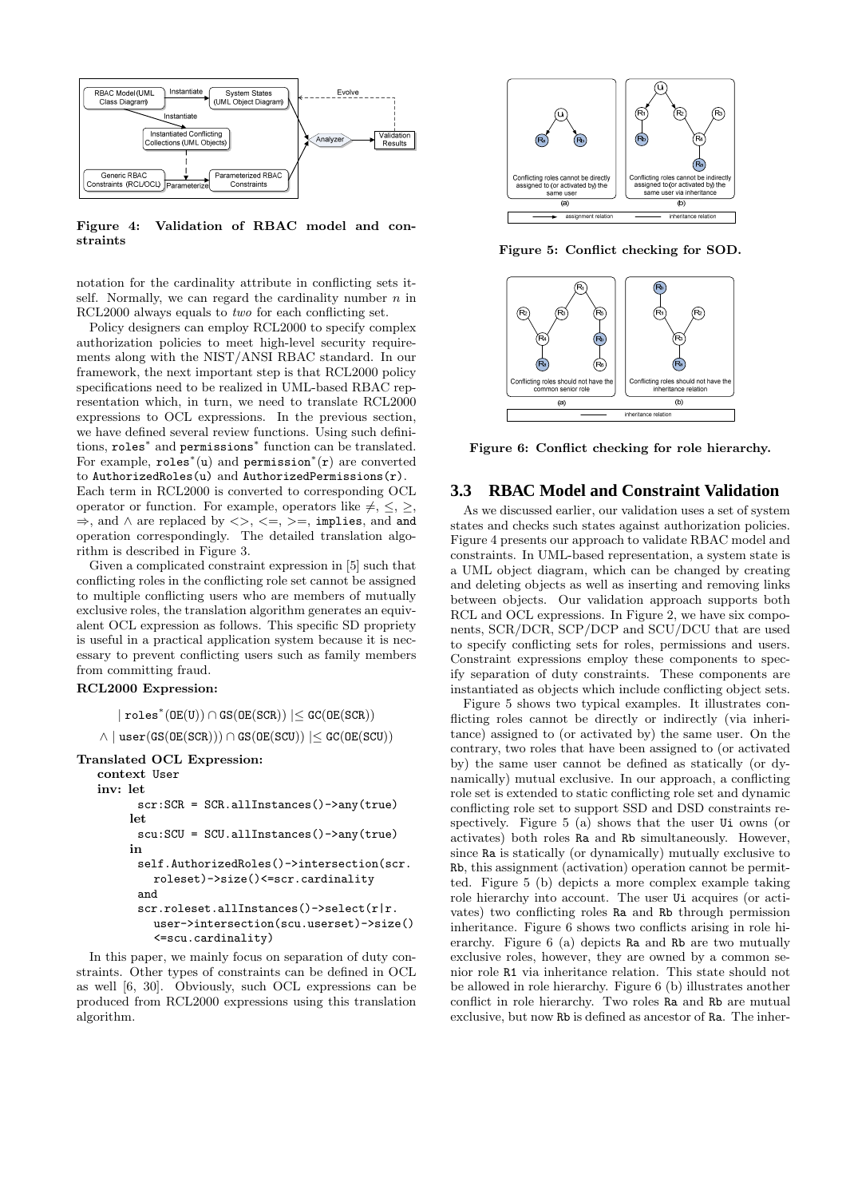

Figure 4: Validation of RBAC model and constraints

notation for the cardinality attribute in conflicting sets itself. Normally, we can regard the cardinality number  $n$  in RCL2000 always equals to two for each conflicting set.

Policy designers can employ RCL2000 to specify complex authorization policies to meet high-level security requirements along with the NIST/ANSI RBAC standard. In our framework, the next important step is that RCL2000 policy specifications need to be realized in UML-based RBAC representation which, in turn, we need to translate RCL2000 expressions to OCL expressions. In the previous section, we have defined several review functions. Using such definitions, roles<sup>∗</sup> and permissions<sup>∗</sup> function can be translated. For example, roles<sup>∗</sup> (u) and permission<sup>∗</sup> (r) are converted to AuthorizedRoles(u) and AuthorizedPermissions(r). Each term in RCL2000 is converted to corresponding OCL operator or function. For example, operators like  $\neq, \leq, \geq,$ ⇒, and ∧ are replaced by <>, <=, >=, implies, and and operation correspondingly. The detailed translation algorithm is described in Figure 3.

Given a complicated constraint expression in [5] such that conflicting roles in the conflicting role set cannot be assigned to multiple conflicting users who are members of mutually exclusive roles, the translation algorithm generates an equivalent OCL expression as follows. This specific SD propriety is useful in a practical application system because it is necessary to prevent conflicting users such as family members from committing fraud.

#### RCL2000 Expression:

```
| \text{roles}^*(\text{OE}(U)) \cap \text{GS}(\text{OE}(SCR)) | \leq \text{GC}(\text{OE}(SCR))
```
 $\wedge$  | user(GS(OE(SCR)))  $\cap$  GS(OE(SCU)) | $\leq$  GC(OE(SCU))

#### Translated OCL Expression:

```
context User
inv: let
      scr:SCR = SCR.allInstances()->any(true)
    let
      scu:SCU = SCU.allInstances()->any(true)
    in
      self.AuthorizedRoles()->intersection(scr.
        roleset)->size()<=scr.cardinality
      and
      scr.roleset.allInstances()->select(r|r.
        user->intersection(scu.userset)->size()
        <=scu.cardinality)
```
In this paper, we mainly focus on separation of duty constraints. Other types of constraints can be defined in OCL as well [6, 30]. Obviously, such OCL expressions can be produced from RCL2000 expressions using this translation algorithm.



Figure 5: Conflict checking for SOD.



Figure 6: Conflict checking for role hierarchy.

# **3.3 RBAC Model and Constraint Validation**

As we discussed earlier, our validation uses a set of system states and checks such states against authorization policies. Figure 4 presents our approach to validate RBAC model and constraints. In UML-based representation, a system state is a UML object diagram, which can be changed by creating and deleting objects as well as inserting and removing links between objects. Our validation approach supports both RCL and OCL expressions. In Figure 2, we have six components, SCR/DCR, SCP/DCP and SCU/DCU that are used to specify conflicting sets for roles, permissions and users. Constraint expressions employ these components to specify separation of duty constraints. These components are instantiated as objects which include conflicting object sets.

Figure 5 shows two typical examples. It illustrates conflicting roles cannot be directly or indirectly (via inheritance) assigned to (or activated by) the same user. On the contrary, two roles that have been assigned to (or activated by) the same user cannot be defined as statically (or dynamically) mutual exclusive. In our approach, a conflicting role set is extended to static conflicting role set and dynamic conflicting role set to support SSD and DSD constraints respectively. Figure 5 (a) shows that the user Ui owns (or activates) both roles Ra and Rb simultaneously. However, since Ra is statically (or dynamically) mutually exclusive to Rb, this assignment (activation) operation cannot be permitted. Figure 5 (b) depicts a more complex example taking role hierarchy into account. The user Ui acquires (or activates) two conflicting roles Ra and Rb through permission inheritance. Figure 6 shows two conflicts arising in role hierarchy. Figure 6 (a) depicts Ra and Rb are two mutually exclusive roles, however, they are owned by a common senior role R1 via inheritance relation. This state should not be allowed in role hierarchy. Figure 6 (b) illustrates another conflict in role hierarchy. Two roles Ra and Rb are mutual exclusive, but now Rb is defined as ancestor of Ra. The inher-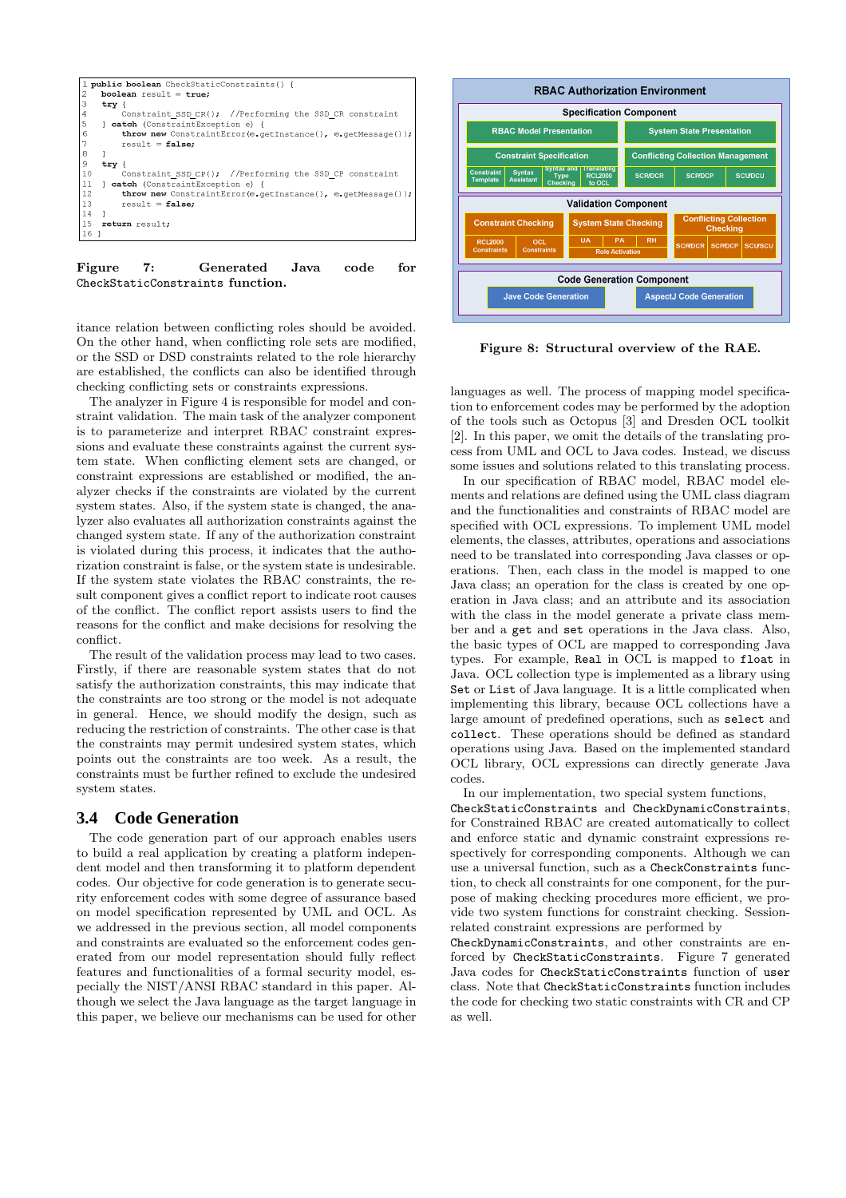

Figure 7: Generated Java code for CheckStaticConstraints function.

itance relation between conflicting roles should be avoided. On the other hand, when conflicting role sets are modified, or the SSD or DSD constraints related to the role hierarchy are established, the conflicts can also be identified through checking conflicting sets or constraints expressions.

The analyzer in Figure 4 is responsible for model and constraint validation. The main task of the analyzer component is to parameterize and interpret RBAC constraint expressions and evaluate these constraints against the current system state. When conflicting element sets are changed, or constraint expressions are established or modified, the analyzer checks if the constraints are violated by the current system states. Also, if the system state is changed, the analyzer also evaluates all authorization constraints against the changed system state. If any of the authorization constraint is violated during this process, it indicates that the authorization constraint is false, or the system state is undesirable. If the system state violates the RBAC constraints, the result component gives a conflict report to indicate root causes of the conflict. The conflict report assists users to find the reasons for the conflict and make decisions for resolving the conflict.

The result of the validation process may lead to two cases. Firstly, if there are reasonable system states that do not satisfy the authorization constraints, this may indicate that the constraints are too strong or the model is not adequate in general. Hence, we should modify the design, such as reducing the restriction of constraints. The other case is that the constraints may permit undesired system states, which points out the constraints are too week. As a result, the constraints must be further refined to exclude the undesired system states.

# **3.4 Code Generation**

The code generation part of our approach enables users to build a real application by creating a platform independent model and then transforming it to platform dependent codes. Our objective for code generation is to generate security enforcement codes with some degree of assurance based on model specification represented by UML and OCL. As we addressed in the previous section, all model components and constraints are evaluated so the enforcement codes generated from our model representation should fully reflect features and functionalities of a formal security model, especially the NIST/ANSI RBAC standard in this paper. Although we select the Java language as the target language in this paper, we believe our mechanisms can be used for other



Figure 8: Structural overview of the RAE.

languages as well. The process of mapping model specification to enforcement codes may be performed by the adoption of the tools such as Octopus [3] and Dresden OCL toolkit [2]. In this paper, we omit the details of the translating process from UML and OCL to Java codes. Instead, we discuss some issues and solutions related to this translating process.

In our specification of RBAC model, RBAC model elements and relations are defined using the UML class diagram and the functionalities and constraints of RBAC model are specified with OCL expressions. To implement UML model elements, the classes, attributes, operations and associations need to be translated into corresponding Java classes or operations. Then, each class in the model is mapped to one Java class; an operation for the class is created by one operation in Java class; and an attribute and its association with the class in the model generate a private class member and a get and set operations in the Java class. Also, the basic types of OCL are mapped to corresponding Java types. For example, Real in OCL is mapped to float in Java. OCL collection type is implemented as a library using Set or List of Java language. It is a little complicated when implementing this library, because OCL collections have a large amount of predefined operations, such as select and collect. These operations should be defined as standard operations using Java. Based on the implemented standard OCL library, OCL expressions can directly generate Java codes.

In our implementation, two special system functions,

CheckStaticConstraints and CheckDynamicConstraints, for Constrained RBAC are created automatically to collect and enforce static and dynamic constraint expressions respectively for corresponding components. Although we can use a universal function, such as a CheckConstraints function, to check all constraints for one component, for the purpose of making checking procedures more efficient, we provide two system functions for constraint checking. Sessionrelated constraint expressions are performed by

CheckDynamicConstraints, and other constraints are enforced by CheckStaticConstraints. Figure 7 generated Java codes for CheckStaticConstraints function of user class. Note that CheckStaticConstraints function includes the code for checking two static constraints with CR and CP as well.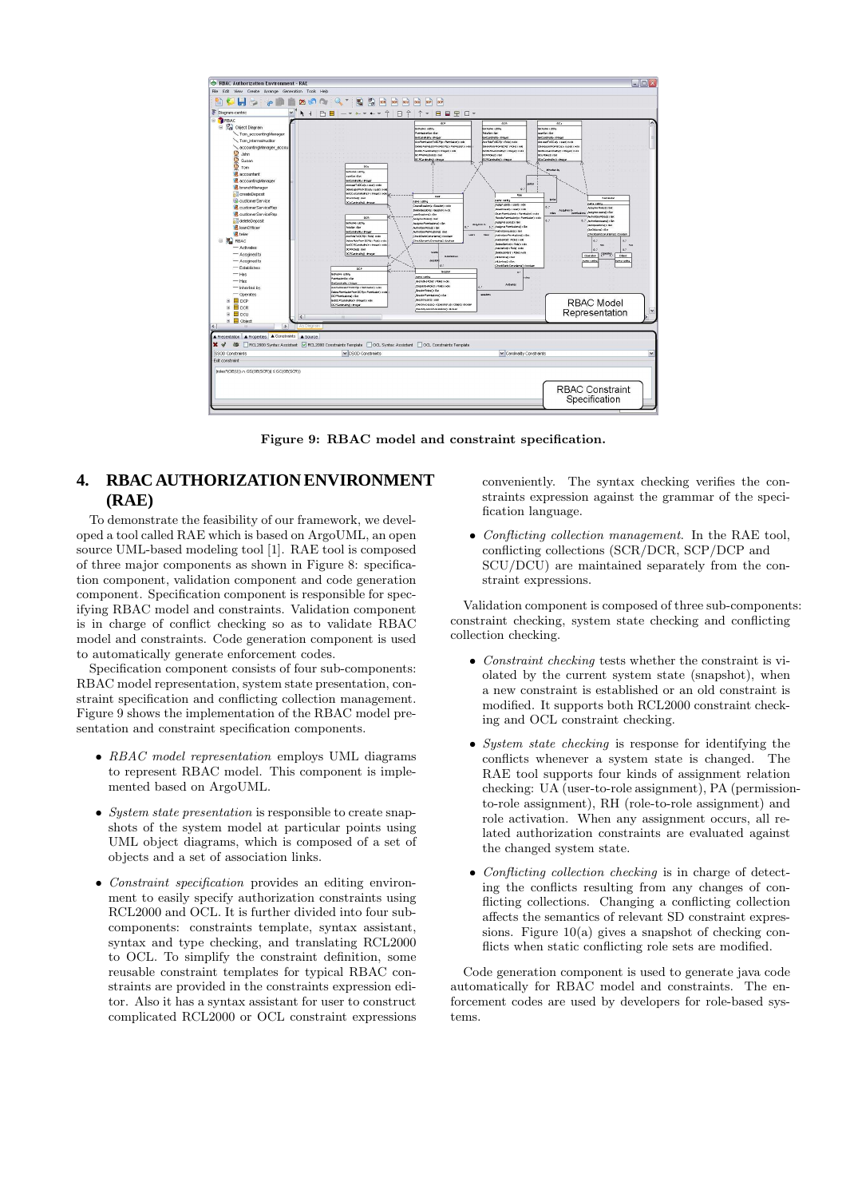

Figure 9: RBAC model and constraint specification.

# **4. RBAC AUTHORIZATION ENVIRONMENT (RAE)**

To demonstrate the feasibility of our framework, we developed a tool called RAE which is based on ArgoUML, an open source UML-based modeling tool [1]. RAE tool is composed of three major components as shown in Figure 8: specification component, validation component and code generation component. Specification component is responsible for specifying RBAC model and constraints. Validation component is in charge of conflict checking so as to validate RBAC model and constraints. Code generation component is used to automatically generate enforcement codes.

Specification component consists of four sub-components: RBAC model representation, system state presentation, constraint specification and conflicting collection management. Figure 9 shows the implementation of the RBAC model presentation and constraint specification components.

- RBAC model representation employs UML diagrams to represent RBAC model. This component is implemented based on ArgoUML.
- System state presentation is responsible to create snapshots of the system model at particular points using UML object diagrams, which is composed of a set of objects and a set of association links.
- *Constraint specification* provides an editing environment to easily specify authorization constraints using RCL2000 and OCL. It is further divided into four subcomponents: constraints template, syntax assistant, syntax and type checking, and translating RCL2000 to OCL. To simplify the constraint definition, some reusable constraint templates for typical RBAC constraints are provided in the constraints expression editor. Also it has a syntax assistant for user to construct complicated RCL2000 or OCL constraint expressions

conveniently. The syntax checking verifies the constraints expression against the grammar of the specification language.

• Conflicting collection management. In the RAE tool, conflicting collections (SCR/DCR, SCP/DCP and SCU/DCU) are maintained separately from the constraint expressions.

Validation component is composed of three sub-components: constraint checking, system state checking and conflicting collection checking.

- Constraint checking tests whether the constraint is violated by the current system state (snapshot), when a new constraint is established or an old constraint is modified. It supports both RCL2000 constraint checking and OCL constraint checking.
- System state checking is response for identifying the conflicts whenever a system state is changed. The RAE tool supports four kinds of assignment relation checking: UA (user-to-role assignment), PA (permissionto-role assignment), RH (role-to-role assignment) and role activation. When any assignment occurs, all related authorization constraints are evaluated against the changed system state.
- *Conflicting collection checking* is in charge of detecting the conflicts resulting from any changes of conflicting collections. Changing a conflicting collection affects the semantics of relevant SD constraint expressions. Figure 10(a) gives a snapshot of checking conflicts when static conflicting role sets are modified.

Code generation component is used to generate java code automatically for RBAC model and constraints. The enforcement codes are used by developers for role-based systems.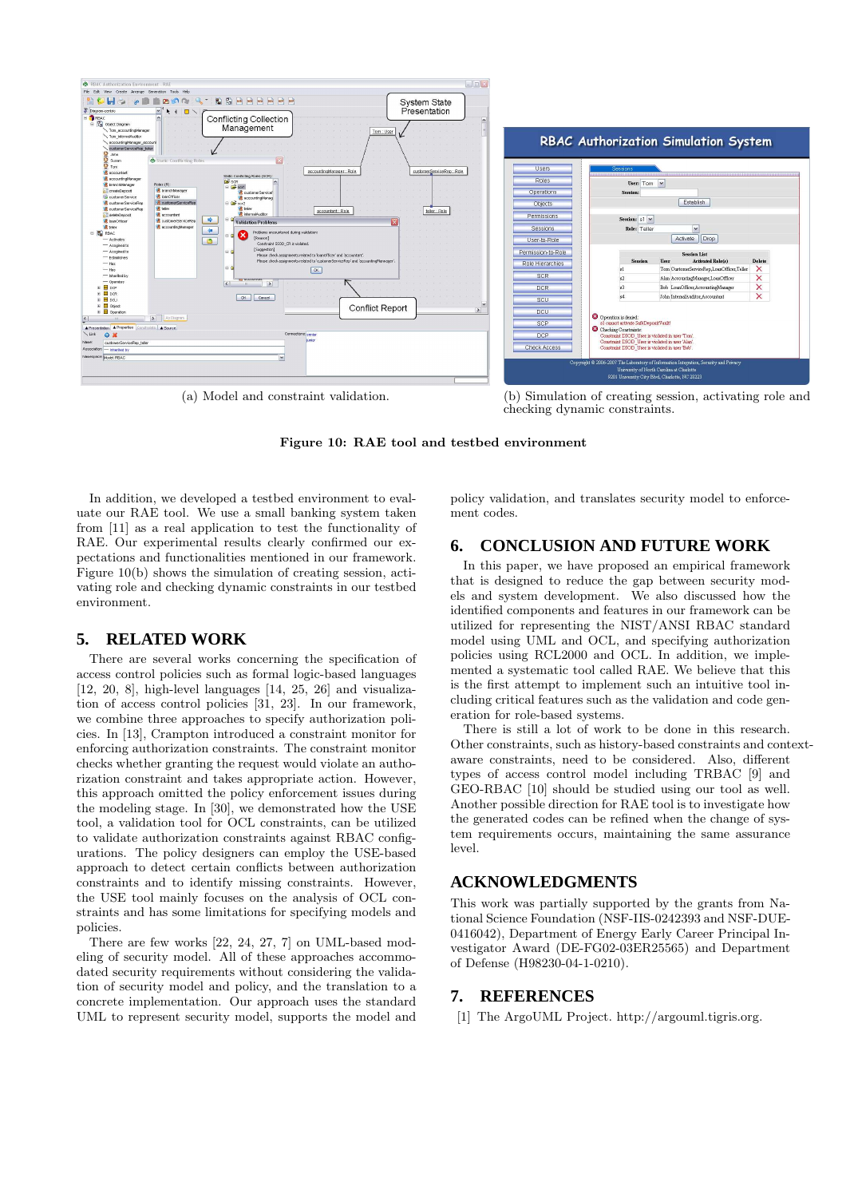

checking dynamic constraints.

Figure 10: RAE tool and testbed environment

In addition, we developed a testbed environment to evaluate our RAE tool. We use a small banking system taken from [11] as a real application to test the functionality of RAE. Our experimental results clearly confirmed our expectations and functionalities mentioned in our framework. Figure 10(b) shows the simulation of creating session, activating role and checking dynamic constraints in our testbed environment.

# **5. RELATED WORK**

There are several works concerning the specification of access control policies such as formal logic-based languages  $[12, 20, 8]$ , high-level languages  $[14, 25, 26]$  and visualization of access control policies [31, 23]. In our framework, we combine three approaches to specify authorization policies. In [13], Crampton introduced a constraint monitor for enforcing authorization constraints. The constraint monitor checks whether granting the request would violate an authorization constraint and takes appropriate action. However, this approach omitted the policy enforcement issues during the modeling stage. In [30], we demonstrated how the USE tool, a validation tool for OCL constraints, can be utilized to validate authorization constraints against RBAC configurations. The policy designers can employ the USE-based approach to detect certain conflicts between authorization constraints and to identify missing constraints. However, the USE tool mainly focuses on the analysis of OCL constraints and has some limitations for specifying models and policies.

There are few works [22, 24, 27, 7] on UML-based modeling of security model. All of these approaches accommodated security requirements without considering the validation of security model and policy, and the translation to a concrete implementation. Our approach uses the standard UML to represent security model, supports the model and policy validation, and translates security model to enforcement codes.

# **6. CONCLUSION AND FUTURE WORK**

In this paper, we have proposed an empirical framework that is designed to reduce the gap between security models and system development. We also discussed how the identified components and features in our framework can be utilized for representing the NIST/ANSI RBAC standard model using UML and OCL, and specifying authorization policies using RCL2000 and OCL. In addition, we implemented a systematic tool called RAE. We believe that this is the first attempt to implement such an intuitive tool including critical features such as the validation and code generation for role-based systems.

There is still a lot of work to be done in this research. Other constraints, such as history-based constraints and contextaware constraints, need to be considered. Also, different types of access control model including TRBAC [9] and GEO-RBAC [10] should be studied using our tool as well. Another possible direction for RAE tool is to investigate how the generated codes can be refined when the change of system requirements occurs, maintaining the same assurance level.

## **ACKNOWLEDGMENTS**

This work was partially supported by the grants from National Science Foundation (NSF-IIS-0242393 and NSF-DUE-0416042), Department of Energy Early Career Principal Investigator Award (DE-FG02-03ER25565) and Department of Defense (H98230-04-1-0210).

#### **7. REFERENCES**

[1] The ArgoUML Project. http://argouml.tigris.org.